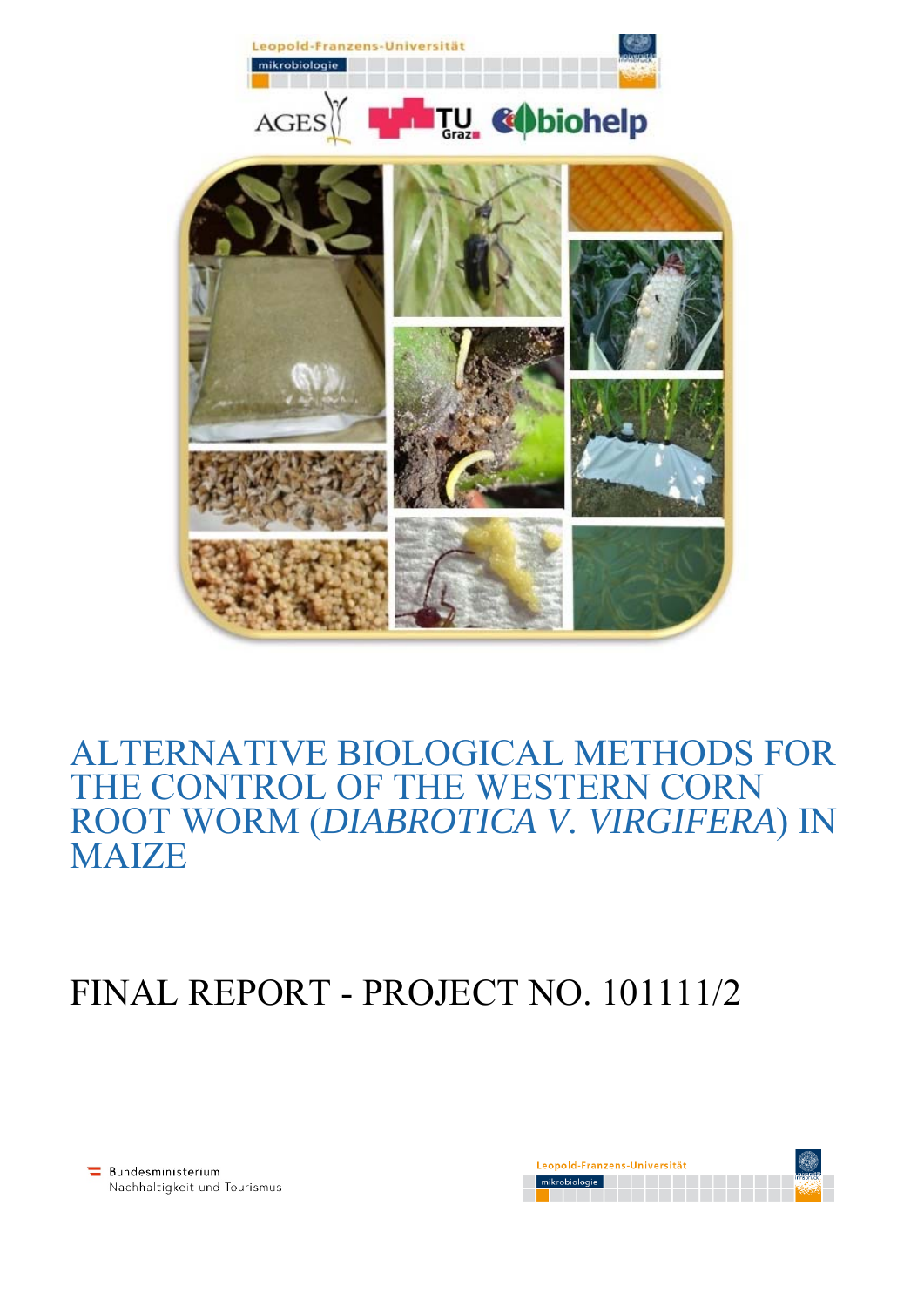

## ALTERNATIVE BIOLOGICAL METHODS FOR THE CONTROL OF THE WESTERN CORN ROOT WORM (*DIABROTICA V. VIRGIFERA*) IN **MAIZE**

## FINAL REPORT - PROJECT NO. 101111/2

Bundesministerium Nachhaltigkeit und Tourismus

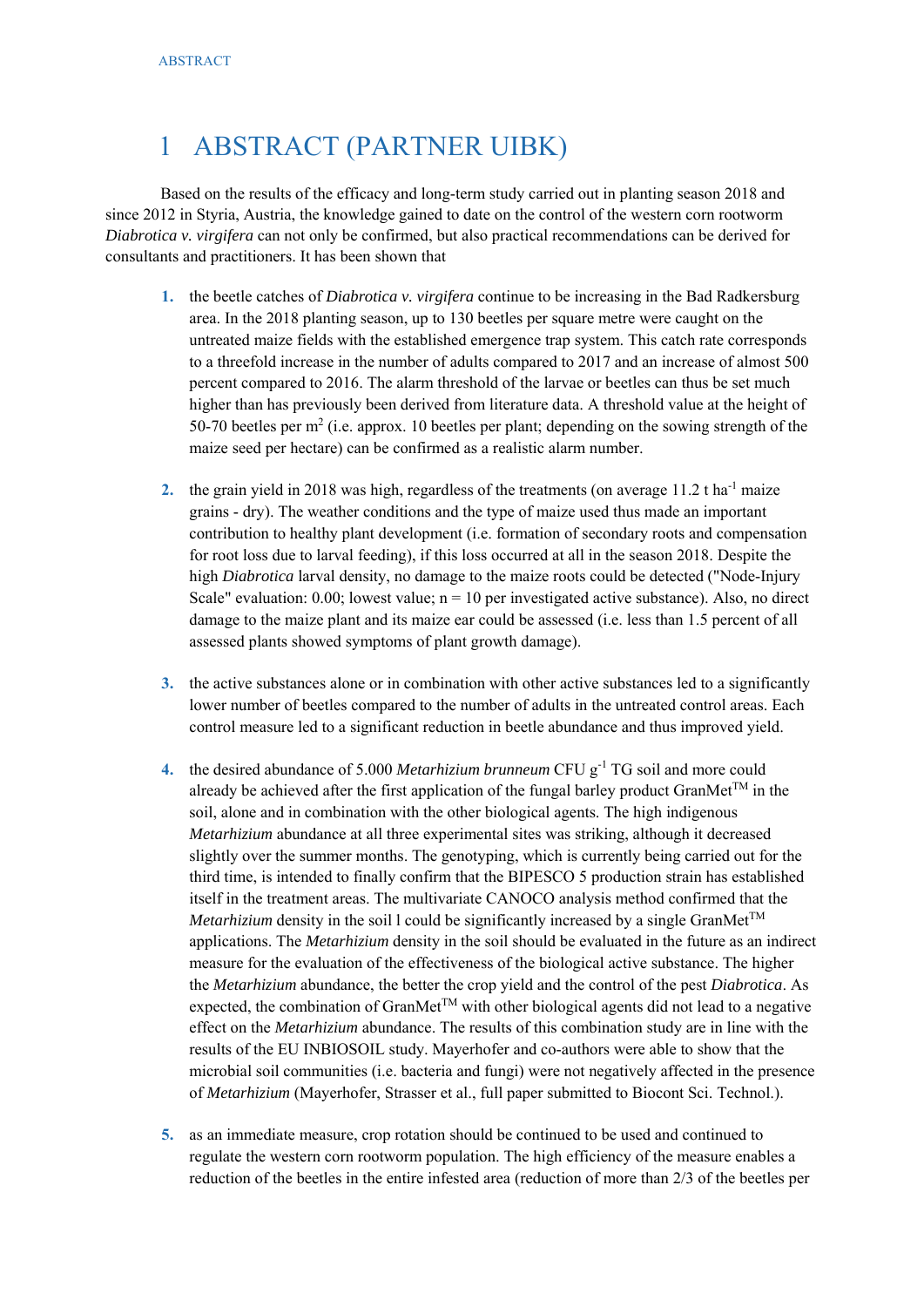## 1 ABSTRACT (PARTNER UIBK)

Based on the results of the efficacy and long-term study carried out in planting season 2018 and since 2012 in Styria, Austria, the knowledge gained to date on the control of the western corn rootworm *Diabrotica v. virgifera* can not only be confirmed, but also practical recommendations can be derived for consultants and practitioners. It has been shown that

- **1.** the beetle catches of *Diabrotica v. virgifera* continue to be increasing in the Bad Radkersburg area. In the 2018 planting season, up to 130 beetles per square metre were caught on the untreated maize fields with the established emergence trap system. This catch rate corresponds to a threefold increase in the number of adults compared to 2017 and an increase of almost 500 percent compared to 2016. The alarm threshold of the larvae or beetles can thus be set much higher than has previously been derived from literature data. A threshold value at the height of 50-70 beetles per  $m<sup>2</sup>$  (i.e. approx. 10 beetles per plant; depending on the sowing strength of the maize seed per hectare) can be confirmed as a realistic alarm number.
- 2. the grain yield in 2018 was high, regardless of the treatments (on average  $11.2$  t ha<sup>-1</sup> maize grains - dry). The weather conditions and the type of maize used thus made an important contribution to healthy plant development (i.e. formation of secondary roots and compensation for root loss due to larval feeding), if this loss occurred at all in the season 2018. Despite the high *Diabrotica* larval density, no damage to the maize roots could be detected ("Node-Injury Scale" evaluation:  $0.00$ ; lowest value;  $n = 10$  per investigated active substance). Also, no direct damage to the maize plant and its maize ear could be assessed (i.e. less than 1.5 percent of all assessed plants showed symptoms of plant growth damage).
- **3.** the active substances alone or in combination with other active substances led to a significantly lower number of beetles compared to the number of adults in the untreated control areas. Each control measure led to a significant reduction in beetle abundance and thus improved yield.
- **4.** the desired abundance of 5.000 *Metarhizium brunneum* CFU g<sup>-1</sup> TG soil and more could already be achieved after the first application of the fungal barley product GranMet<sup>TM</sup> in the soil, alone and in combination with the other biological agents. The high indigenous *Metarhizium* abundance at all three experimental sites was striking, although it decreased slightly over the summer months. The genotyping, which is currently being carried out for the third time, is intended to finally confirm that the BIPESCO 5 production strain has established itself in the treatment areas. The multivariate CANOCO analysis method confirmed that the *Metarhizium* density in the soil 1 could be significantly increased by a single GranMet<sup>TM</sup> applications. The *Metarhizium* density in the soil should be evaluated in the future as an indirect measure for the evaluation of the effectiveness of the biological active substance. The higher the *Metarhizium* abundance, the better the crop yield and the control of the pest *Diabrotica*. As expected, the combination of GranMet<sup>TM</sup> with other biological agents did not lead to a negative effect on the *Metarhizium* abundance. The results of this combination study are in line with the results of the EU INBIOSOIL study. Mayerhofer and co-authors were able to show that the microbial soil communities (i.e. bacteria and fungi) were not negatively affected in the presence of *Metarhizium* (Mayerhofer, Strasser et al., full paper submitted to Biocont Sci. Technol.).
- **5.** as an immediate measure, crop rotation should be continued to be used and continued to regulate the western corn rootworm population. The high efficiency of the measure enables a reduction of the beetles in the entire infested area (reduction of more than 2/3 of the beetles per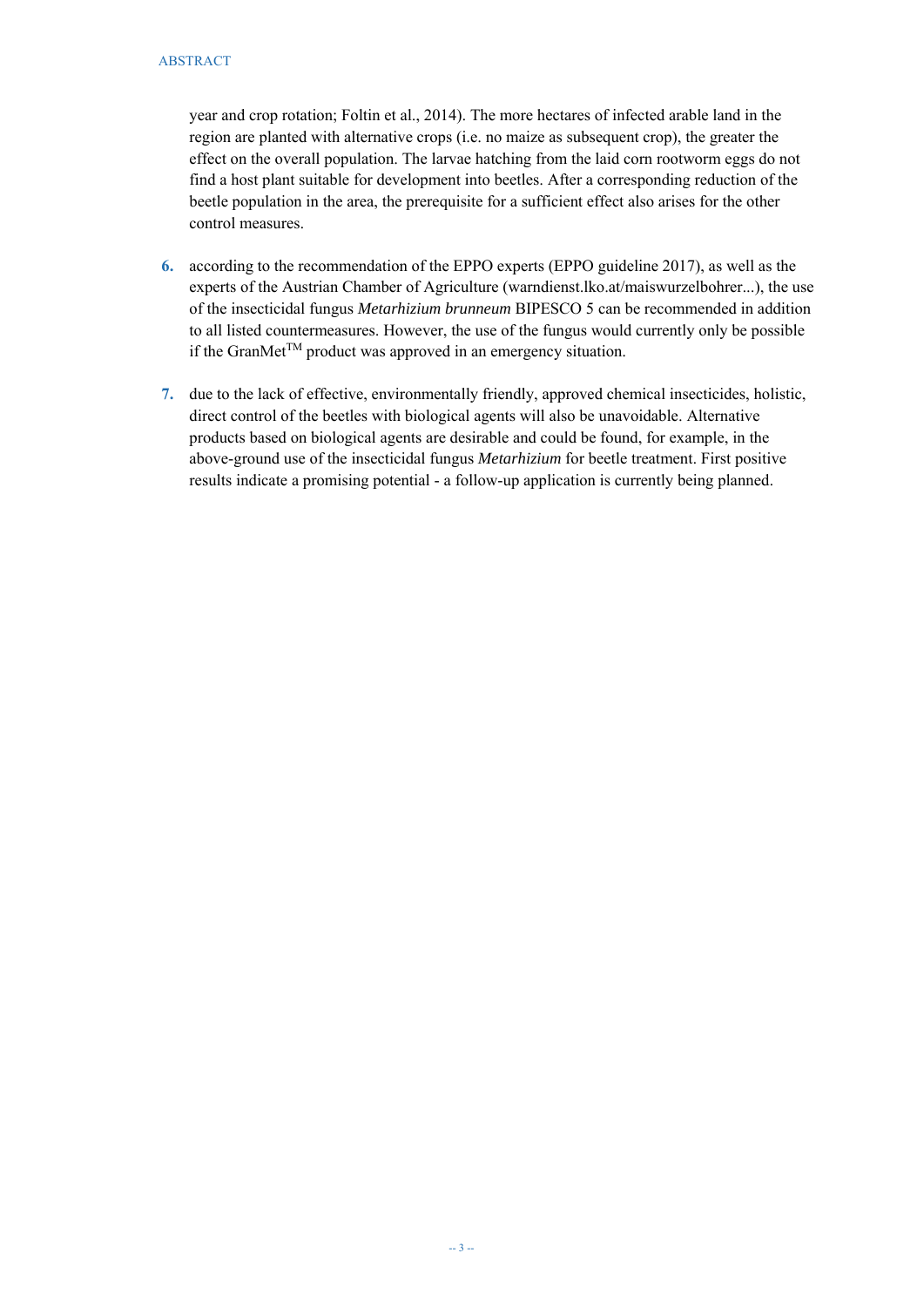year and crop rotation; Foltin et al., 2014). The more hectares of infected arable land in the region are planted with alternative crops (i.e. no maize as subsequent crop), the greater the effect on the overall population. The larvae hatching from the laid corn rootworm eggs do not find a host plant suitable for development into beetles. After a corresponding reduction of the beetle population in the area, the prerequisite for a sufficient effect also arises for the other control measures.

- **6.** according to the recommendation of the EPPO experts (EPPO guideline 2017), as well as the experts of the Austrian Chamber of Agriculture (warndienst.lko.at/maiswurzelbohrer...), the use of the insecticidal fungus *Metarhizium brunneum* BIPESCO 5 can be recommended in addition to all listed countermeasures. However, the use of the fungus would currently only be possible if the GranMet<sup>TM</sup> product was approved in an emergency situation.
- **7.** due to the lack of effective, environmentally friendly, approved chemical insecticides, holistic, direct control of the beetles with biological agents will also be unavoidable. Alternative products based on biological agents are desirable and could be found, for example, in the above-ground use of the insecticidal fungus *Metarhizium* for beetle treatment. First positive results indicate a promising potential - a follow-up application is currently being planned.